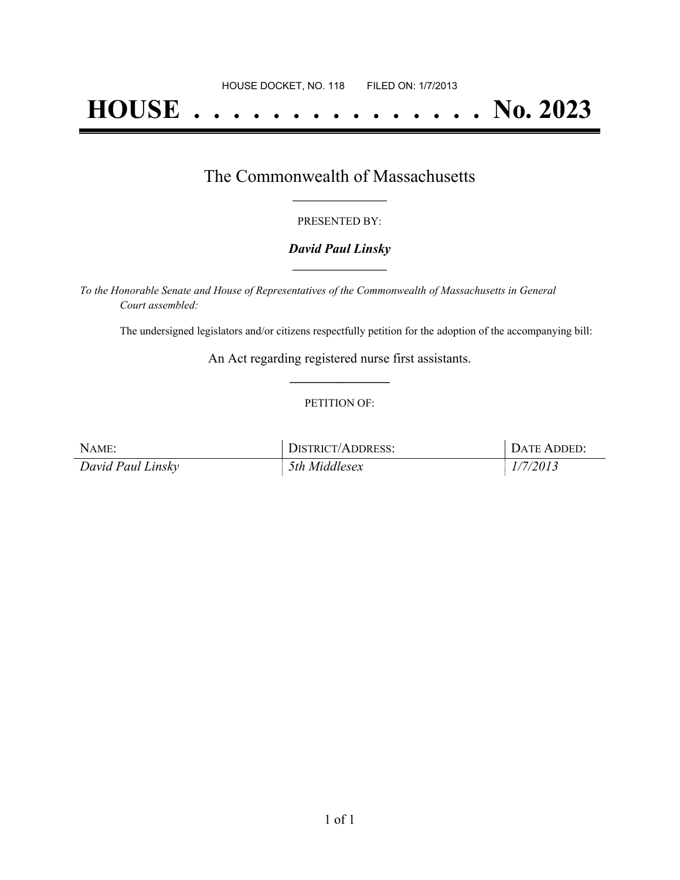# **HOUSE . . . . . . . . . . . . . . . No. 2023**

### The Commonwealth of Massachusetts **\_\_\_\_\_\_\_\_\_\_\_\_\_\_\_\_\_**

#### PRESENTED BY:

#### *David Paul Linsky* **\_\_\_\_\_\_\_\_\_\_\_\_\_\_\_\_\_**

*To the Honorable Senate and House of Representatives of the Commonwealth of Massachusetts in General Court assembled:*

The undersigned legislators and/or citizens respectfully petition for the adoption of the accompanying bill:

An Act regarding registered nurse first assistants. **\_\_\_\_\_\_\_\_\_\_\_\_\_\_\_**

#### PETITION OF:

| NAME:             | DISTRICT/ADDRESS: | DATE ADDED: |
|-------------------|-------------------|-------------|
| David Paul Linsky | 5th Middlesex     | 1/7/2013    |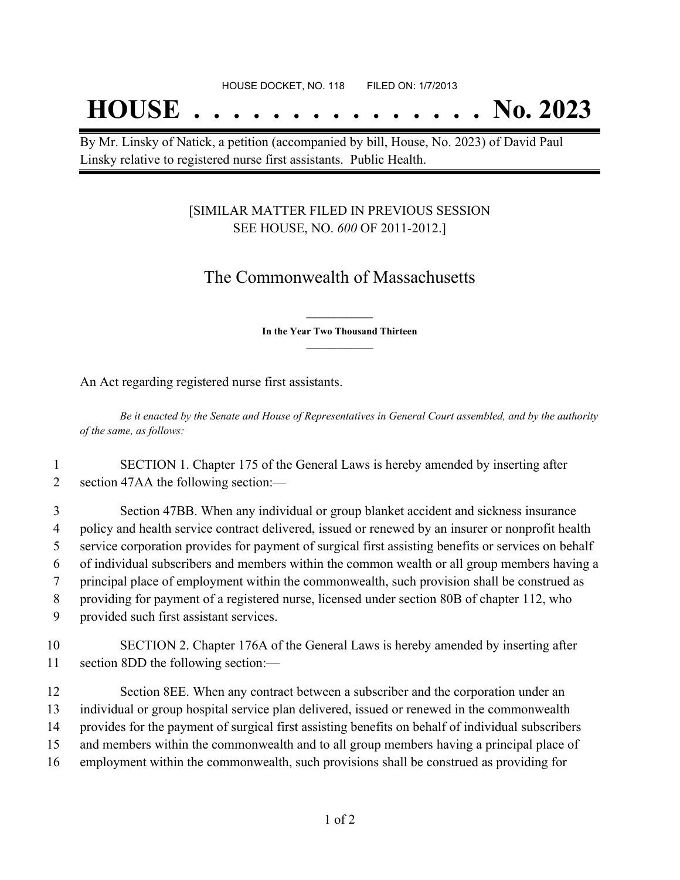## **HOUSE . . . . . . . . . . . . . . . No. 2023**

By Mr. Linsky of Natick, a petition (accompanied by bill, House, No. 2023) of David Paul Linsky relative to registered nurse first assistants. Public Health.

#### [SIMILAR MATTER FILED IN PREVIOUS SESSION SEE HOUSE, NO. *600* OF 2011-2012.]

## The Commonwealth of Massachusetts

**\_\_\_\_\_\_\_\_\_\_\_\_\_\_\_ In the Year Two Thousand Thirteen \_\_\_\_\_\_\_\_\_\_\_\_\_\_\_**

An Act regarding registered nurse first assistants.

Be it enacted by the Senate and House of Representatives in General Court assembled, and by the authority *of the same, as follows:*

1 SECTION 1. Chapter 175 of the General Laws is hereby amended by inserting after 2 section 47AA the following section:—

 Section 47BB. When any individual or group blanket accident and sickness insurance policy and health service contract delivered, issued or renewed by an insurer or nonprofit health service corporation provides for payment of surgical first assisting benefits or services on behalf of individual subscribers and members within the common wealth or all group members having a principal place of employment within the commonwealth, such provision shall be construed as providing for payment of a registered nurse, licensed under section 80B of chapter 112, who provided such first assistant services.

10 SECTION 2. Chapter 176A of the General Laws is hereby amended by inserting after 11 section 8DD the following section:—

 Section 8EE. When any contract between a subscriber and the corporation under an individual or group hospital service plan delivered, issued or renewed in the commonwealth provides for the payment of surgical first assisting benefits on behalf of individual subscribers and members within the commonwealth and to all group members having a principal place of employment within the commonwealth, such provisions shall be construed as providing for